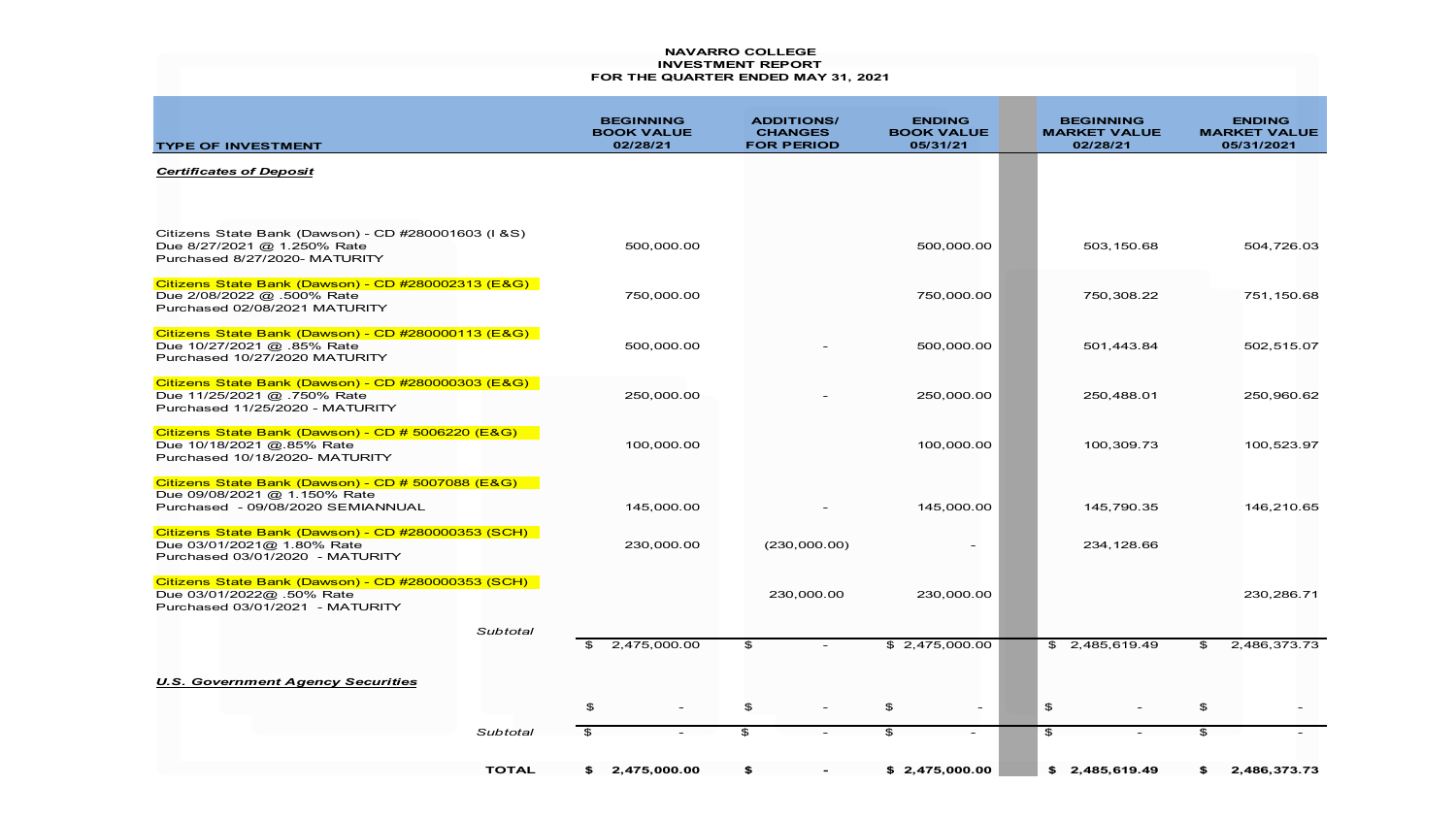## **NAVARRO COLLEGE INVESTMENT REPORT FOR THE QUARTER ENDED MAY 31, 2021**

| <b>TYPE OF INVESTMENT</b>                                                                                              |              |                | <b>BEGINNING</b><br><b>BOOK VALUE</b><br>02/28/21 |                | <b>ADDITIONS/</b><br><b>CHANGES</b><br><b>FOR PERIOD</b> | <b>ENDING</b><br><b>BOOK VALUE</b><br>05/31/21 |        |                | <b>BEGINNING</b><br><b>MARKET VALUE</b><br>02/28/21 |                | <b>ENDING</b><br><b>MARKET VALUE</b><br>05/31/2021 |
|------------------------------------------------------------------------------------------------------------------------|--------------|----------------|---------------------------------------------------|----------------|----------------------------------------------------------|------------------------------------------------|--------|----------------|-----------------------------------------------------|----------------|----------------------------------------------------|
| <b>Certificates of Deposit</b>                                                                                         |              |                |                                                   |                |                                                          |                                                |        |                |                                                     |                |                                                    |
|                                                                                                                        |              |                |                                                   |                |                                                          |                                                |        |                |                                                     |                |                                                    |
| Citizens State Bank (Dawson) - CD #280001603 (I & S)<br>Due 8/27/2021 @ 1.250% Rate<br>Purchased 8/27/2020- MATURITY   |              |                | 500,000.00                                        |                |                                                          | 500,000.00                                     |        |                | 503,150.68                                          |                | 504,726.03                                         |
| Citizens State Bank (Dawson) - CD #280002313 (E&G)<br>Due 2/08/2022 @ .500% Rate<br>Purchased 02/08/2021 MATURITY      |              |                | 750,000.00                                        |                |                                                          | 750,000.00                                     |        |                | 750,308.22                                          |                | 751,150.68                                         |
| Citizens State Bank (Dawson) - CD #280000113 (E&G)<br>Due 10/27/2021 @ .85% Rate<br>Purchased 10/27/2020 MATURITY      |              |                | 500,000.00                                        |                |                                                          | 500,000.00                                     |        |                | 501,443.84                                          |                | 502,515.07                                         |
| Citizens State Bank (Dawson) - CD #280000303 (E&G)<br>Due 11/25/2021 @ .750% Rate<br>Purchased 11/25/2020 - MATURITY   |              |                | 250,000.00                                        |                |                                                          | 250,000.00                                     |        |                | 250,488.01                                          |                | 250,960.62                                         |
| Citizens State Bank (Dawson) - CD # 5006220 (E&G)<br>Due 10/18/2021 @.85% Rate<br>Purchased 10/18/2020- MATURITY       |              |                | 100,000.00                                        |                |                                                          | 100,000.00                                     |        |                | 100,309.73                                          |                | 100,523.97                                         |
| Citizens State Bank (Dawson) - CD # 5007088 (E&G)<br>Due 09/08/2021 @ 1.150% Rate<br>Purchased - 09/08/2020 SEMIANNUAL |              |                | 145,000.00                                        |                |                                                          | 145,000.00                                     |        |                | 145,790.35                                          |                | 146,210.65                                         |
| Citizens State Bank (Dawson) - CD #280000353 (SCH)<br>Due 03/01/2021@ 1.80% Rate<br>Purchased 03/01/2020 - MATURITY    |              |                | 230,000.00                                        |                | (230,000.00)                                             |                                                |        |                | 234,128.66                                          |                |                                                    |
| Citizens State Bank (Dawson) - CD #280000353 (SCH)<br>Due 03/01/2022@ .50% Rate<br>Purchased 03/01/2021 - MATURITY     |              |                |                                                   |                | 230,000.00                                               | 230,000.00                                     |        |                |                                                     |                | 230,286.71                                         |
|                                                                                                                        | Subtotal     | $\mathfrak{P}$ | 2,475,000.00                                      | \$             |                                                          | \$2,475,000.00                                 |        |                | \$2,485,619.49                                      | $\mathfrak{P}$ | 2,486,373.73                                       |
| <b>U.S. Government Agency Securities</b>                                                                               |              |                |                                                   |                |                                                          |                                                |        |                |                                                     |                |                                                    |
|                                                                                                                        |              | \$             |                                                   | \$             |                                                          | \$                                             |        | \$             |                                                     | $\mathfrak{P}$ |                                                    |
|                                                                                                                        | Subtotal     | $\mathfrak{F}$ |                                                   | $\mathfrak{P}$ |                                                          | \$                                             | $\sim$ | $\mathfrak{P}$ |                                                     | $\mathfrak{P}$ |                                                    |
|                                                                                                                        | <b>TOTAL</b> | SS.            | 2,475,000.00                                      | \$             |                                                          | \$2,475,000.00                                 |        | SS.            | 2,485,619.49                                        | \$             | 2,486,373.73                                       |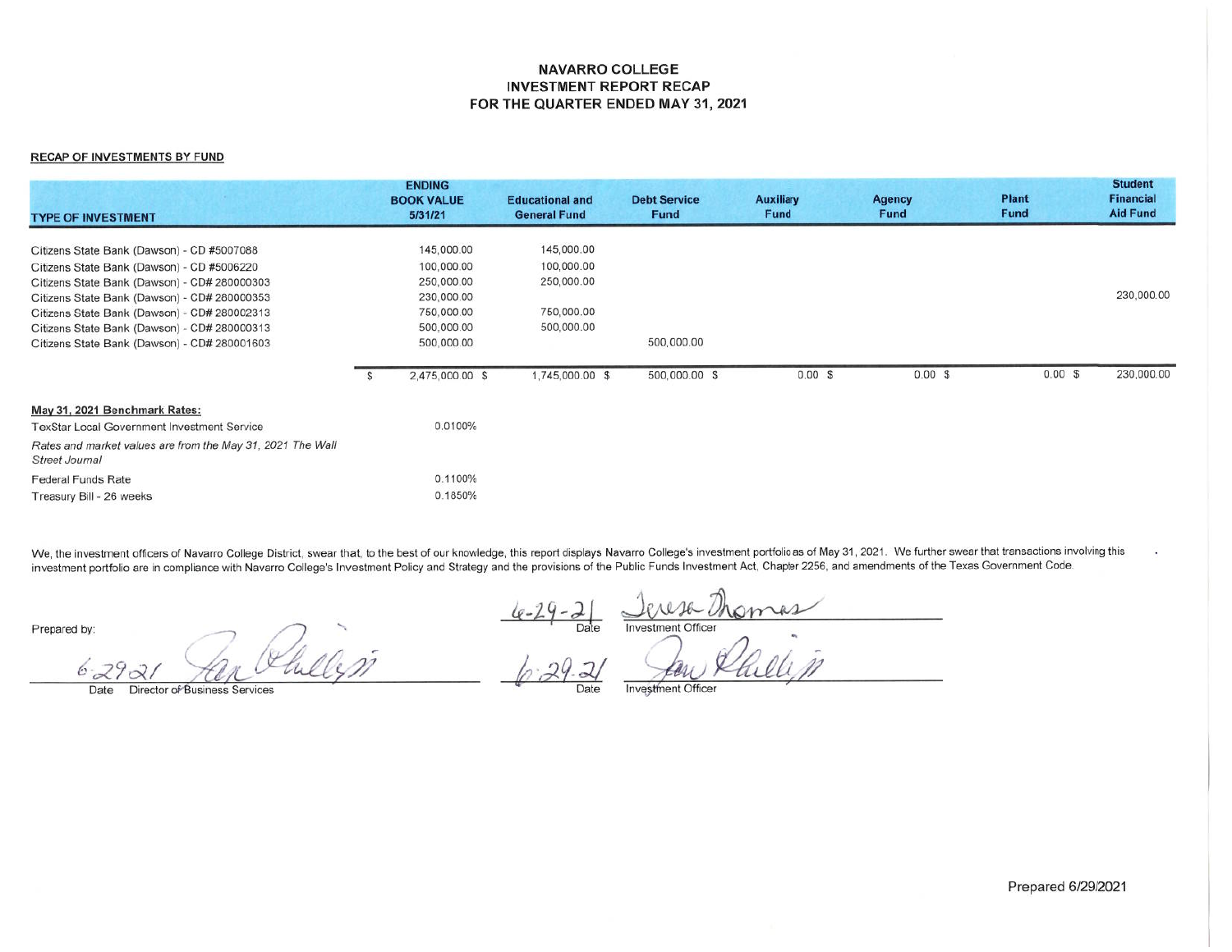## **NAVARRO COLLEGE INVESTMENT REPORT RECAP** FOR THE QUARTER ENDED MAY 31, 2021

## **RECAP OF INVESTMENTS BY FUND**

| <b>TYPE OF INVESTMENT</b>                                                    |    | <b>ENDING</b><br><b>BOOK VALUE</b><br>5/31/21 | <b>Educational and</b><br><b>General Fund</b> | <b>Debt Service</b><br><b>Fund</b> | <b>Auxiliary</b><br>Fund | <b>Agency</b><br>Fund | <b>Plant</b><br>Fund | <b>Student</b><br><b>Financial</b><br><b>Aid Fund</b> |
|------------------------------------------------------------------------------|----|-----------------------------------------------|-----------------------------------------------|------------------------------------|--------------------------|-----------------------|----------------------|-------------------------------------------------------|
|                                                                              |    |                                               |                                               |                                    |                          |                       |                      |                                                       |
| Citizens State Bank (Dawson) - CD #5007088                                   |    | 145,000.00                                    | 145,000.00                                    |                                    |                          |                       |                      |                                                       |
| Citizens State Bank (Dawson) - CD #5006220                                   |    | 100,000.00                                    | 100,000.00                                    |                                    |                          |                       |                      |                                                       |
| Citizens State Bank (Dawson) - CD# 280000303                                 |    | 250,000.00                                    | 250,000.00                                    |                                    |                          |                       |                      |                                                       |
| Citizens State Bank (Dawson) - CD# 280000353                                 |    | 230,000.00                                    |                                               |                                    |                          |                       |                      | 230,000.00                                            |
| Citizens State Bank (Dawson) - CD# 280002313                                 |    | 750,000.00                                    | 750,000.00                                    |                                    |                          |                       |                      |                                                       |
| Citizens State Bank (Dawson) - CD# 280000313                                 |    | 500,000.00                                    | 500,000.00                                    |                                    |                          |                       |                      |                                                       |
| Citizens State Bank (Dawson) - CD# 280001603                                 |    | 500,000.00                                    |                                               | 500,000.00                         |                          |                       |                      |                                                       |
|                                                                              | -S | 2,475,000.00 \$                               | 1,745,000.00 \$                               | 500,000.00 \$                      | 0.00 S                   | $0.00$ \$             | 0.00S                | 230,000.00                                            |
| May 31, 2021 Benchmark Rates:                                                |    |                                               |                                               |                                    |                          |                       |                      |                                                       |
| <b>TexStar Local Government Investment Service</b>                           |    | 0.0100%                                       |                                               |                                    |                          |                       |                      |                                                       |
| Rates and market values are from the May 31, 2021 The Wall<br>Street Journal |    |                                               |                                               |                                    |                          |                       |                      |                                                       |
| <b>Federal Funds Rate</b>                                                    |    | 0.1100%                                       |                                               |                                    |                          |                       |                      |                                                       |
| Treasury Bill - 26 weeks                                                     |    | 0.1850%                                       |                                               |                                    |                          |                       |                      |                                                       |

We, the investment officers of Navarro College District, swear that, to the best of our knowledge, this report displays Navarro College's investment portfolio as of May 31, 2021. We further swear that transactions involvin investment portfolio are in compliance with Navarro College's Investment Policy and Strategy and the provisions of the Public Funds Investment Act, Chapter 2256, and amendments of the Texas Government Code.

Prepared by:

 $6 - 29$  $\varphi$ 

Director of Business Services

Date

Date **Investment Officer** 

Date

Investment Officer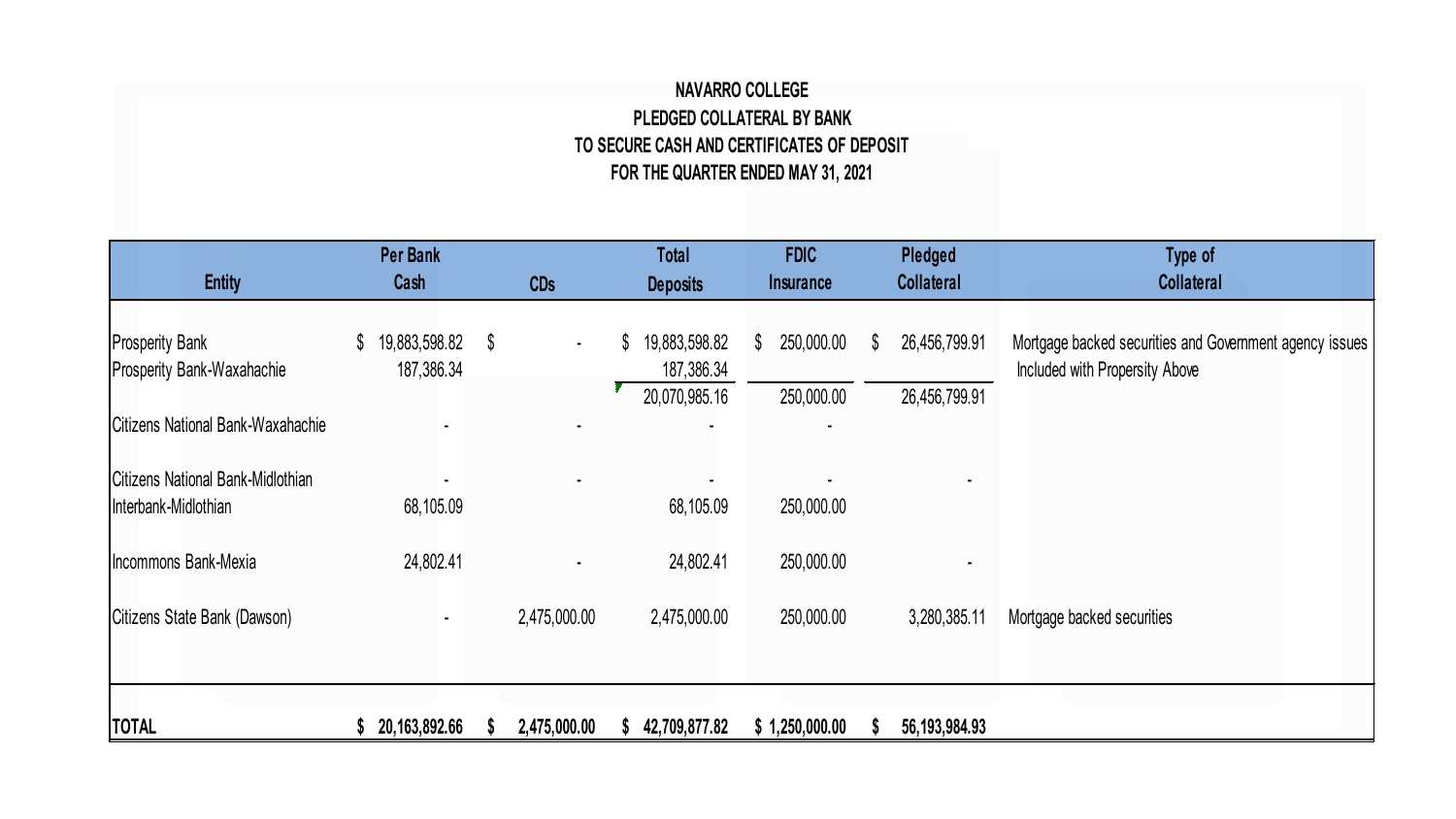## **NAVARRO COLLEGE PLEDGED COLLATERAL BY BANK TO SECURE CASH AND CERTIFICATES OF DEPOSIT FOR THE QUARTER ENDED MAY 31, 2021**

| <b>Entity</b>                                             | <b>Per Bank</b><br>Cash           | <b>CDs</b>                   | <b>Total</b><br><b>Deposits</b>   | <b>FDIC</b><br><b>Insurance</b> | Pledged<br><b>Collateral</b> | Type of<br><b>Collateral</b>                                                              |
|-----------------------------------------------------------|-----------------------------------|------------------------------|-----------------------------------|---------------------------------|------------------------------|-------------------------------------------------------------------------------------------|
| <b>Prosperity Bank</b><br>Prosperity Bank-Waxahachie      | 19,883,598.82<br>\$<br>187,386.34 | $^{\circ}$<br>$\blacksquare$ | 19,883,598.82<br>\$<br>187,386.34 | 250,000.00<br>\$                | \$<br>26,456,799.91          | Mortgage backed securities and Government agency issues<br>Included with Propersity Above |
| Citizens National Bank-Waxahachie                         |                                   |                              | 20,070,985.16                     | 250,000.00                      | 26,456,799.91                |                                                                                           |
| Citizens National Bank-Midlothian<br>Interbank-Midlothian | 68,105.09                         |                              | 68,105.09                         | 250,000.00                      |                              |                                                                                           |
| Incommons Bank-Mexia                                      | 24,802.41                         | ٠                            | 24,802.41                         | 250,000.00                      |                              |                                                                                           |
| Citizens State Bank (Dawson)                              |                                   | 2,475,000.00                 | 2,475,000.00                      | 250,000.00                      | 3,280,385.11                 | Mortgage backed securities                                                                |
|                                                           |                                   |                              |                                   |                                 |                              |                                                                                           |
| <b>TOTAL</b>                                              | 20,163,892.66                     | 2,475,000.00                 | 42,709,877.82                     | \$1,250,000.00                  | 56, 193, 984. 93             |                                                                                           |